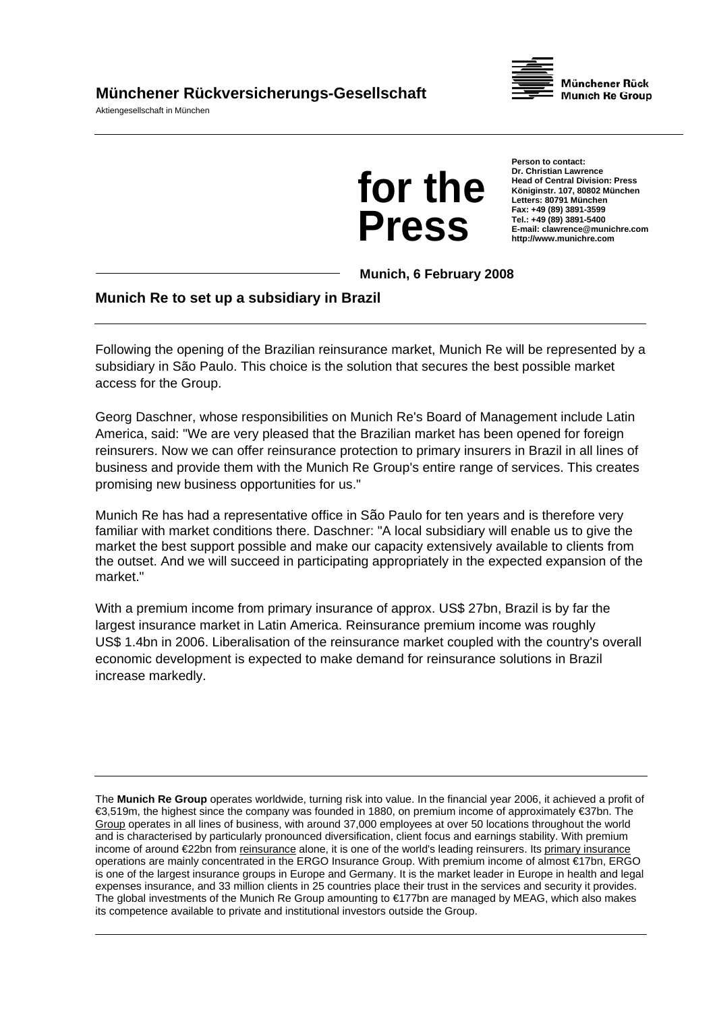## **Münchener Rückversicherungs-Gesellschaft**

Aktiengesellschaft in München





**Person to contact: Dr. Christian Lawrence Head of Central Division: Press Königinstr. 107, 80802 München Letters: 80791 München Fax: +49 (89) 3891-3599 Tel.: +49 (89) 3891-5400 E-mail: clawrence@munichre.com http://www.munichre.com**

**Munich, 6 February 2008** 

## **Munich Re to set up a subsidiary in Brazil**

Following the opening of the Brazilian reinsurance market, Munich Re will be represented by a subsidiary in São Paulo. This choice is the solution that secures the best possible market access for the Group.

Georg Daschner, whose responsibilities on Munich Re's Board of Management include Latin America, said: "We are very pleased that the Brazilian market has been opened for foreign reinsurers. Now we can offer reinsurance protection to primary insurers in Brazil in all lines of business and provide them with the Munich Re Group's entire range of services. This creates promising new business opportunities for us."

Munich Re has had a representative office in São Paulo for ten years and is therefore very familiar with market conditions there. Daschner: "A local subsidiary will enable us to give the market the best support possible and make our capacity extensively available to clients from the outset. And we will succeed in participating appropriately in the expected expansion of the market."

With a premium income from primary insurance of approx. US\$ 27bn, Brazil is by far the largest insurance market in Latin America. Reinsurance premium income was roughly US\$ 1.4bn in 2006. Liberalisation of the reinsurance market coupled with the country's overall economic development is expected to make demand for reinsurance solutions in Brazil increase markedly.

The **Munich Re Group** operates worldwide, turning risk into value. In the financial year 2006, it achieved a profit of €3,519m, the highest since the company was founded in 1880, on premium income of approximately €37bn. The Group operates in all lines of business, with around 37,000 employees at over 50 locations throughout the world and is characterised by particularly pronounced diversification, client focus and earnings stability. With premium income of around €22bn from reinsurance alone, it is one of the world's leading reinsurers. Its primary insurance operations are mainly concentrated in the ERGO Insurance Group. With premium income of almost €17bn, ERGO is one of the largest insurance groups in Europe and Germany. It is the market leader in Europe in health and legal expenses insurance, and 33 million clients in 25 countries place their trust in the services and security it provides. The global investments of the Munich Re Group amounting to €177bn are managed by MEAG, which also makes its competence available to private and institutional investors outside the Group.